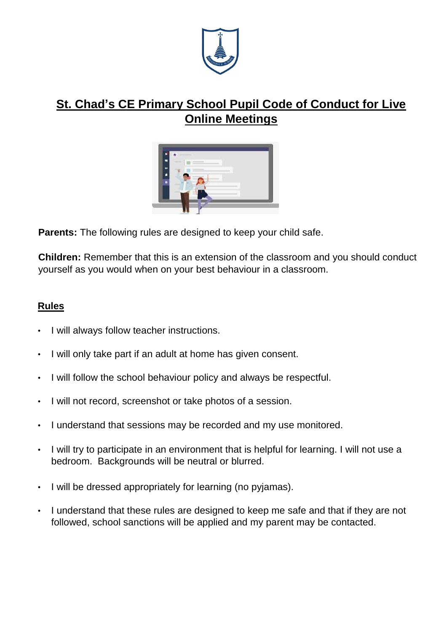

## **St. Chad's CE Primary School Pupil Code of Conduct for Live Online Meetings**



**Parents:** The following rules are designed to keep your child safe.

**Children:** Remember that this is an extension of the classroom and you should conduct yourself as you would when on your best behaviour in a classroom.

## **Rules**

- I will always follow teacher instructions.
- I will only take part if an adult at home has given consent.
- I will follow the school behaviour policy and always be respectful.
- I will not record, screenshot or take photos of a session.
- I understand that sessions may be recorded and my use monitored.
- I will try to participate in an environment that is helpful for learning. I will not use a bedroom. Backgrounds will be neutral or blurred.
- I will be dressed appropriately for learning (no pyjamas).
- I understand that these rules are designed to keep me safe and that if they are not followed, school sanctions will be applied and my parent may be contacted.